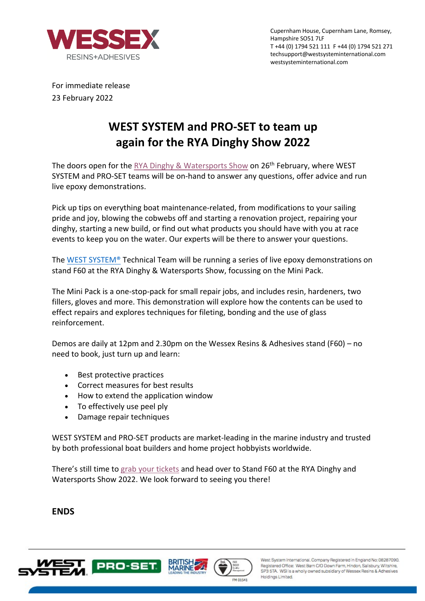

Cupernham House, Cupernham Lane, Romsey, Hampshire SO51 7LF T +44 (0) 1794 521 111 F +44 (0) 1794 521 271 techsupport@westsysteminternational.com westsysteminternational.com

For immediate release 23 February 2022

## **WEST SYSTEM and PRO-SET to team up again for the RYA Dinghy Show 2022**

The doors open for the RYA Dinghy & Watersports Show on 26<sup>th</sup> February, where WEST SYSTEM and PRO-SET teams will be on-hand to answer any questions, offer advice and run live epoxy demonstrations.

Pick up tips on everything boat maintenance-related, from modifications to your sailing pride and joy, blowing the cobwebs off and starting a renovation project, repairing your dinghy, starting a new build, or find out what products you should have with you at race events to keep you on the water. Our experts will be there to answer your questions.

The WEST SYSTEM® Technical Team will be running a series of live epoxy demonstrations on stand F60 at the RYA Dinghy & Watersports Show, focussing on the Mini Pack.

The Mini Pack is a one-stop-pack for small repair jobs, and includes resin, hardeners, two fillers, gloves and more. This demonstration will explore how the contents can be used to effect repairs and explores techniques for fileting, bonding and the use of glass reinforcement.

Demos are daily at 12pm and 2.30pm on the Wessex Resins & Adhesives stand (F60) – no need to book, just turn up and learn:

- Best protective practices
- Correct measures for best results
- How to extend the application window
- To effectively use peel ply
- Damage repair techniques

WEST SYSTEM and PRO-SET products are market-leading in the marine industry and trusted by both professional boat builders and home project hobbyists worldwide.

There's still time to grab your tickets and head over to Stand F60 at the RYA Dinghy and Watersports Show 2022. We look forward to seeing you there!

## **ENDS**







West System International, Company Registered in England No: 08287090. Registered Office: West Barn C/O Down Farm, Hindon, Salisbury, Wiltshire, SP3 5TA. WSI is a wholly owned subsidiary of Wessex Resins & Adhesives Holdings Limited